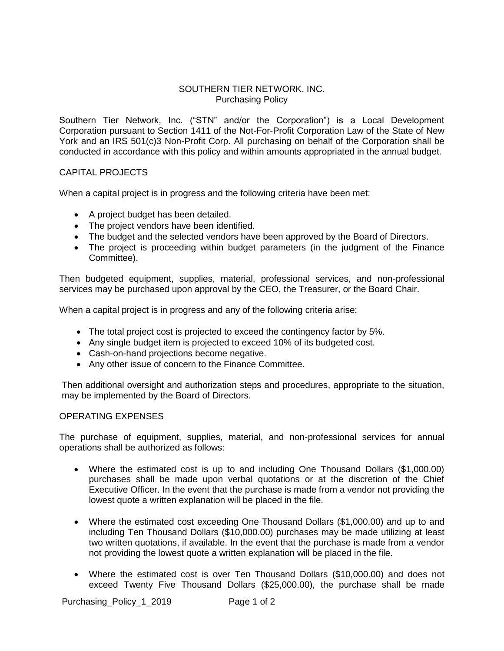## SOUTHERN TIER NETWORK, INC. Purchasing Policy

Southern Tier Network, Inc. ("STN" and/or the Corporation") is a Local Development Corporation pursuant to Section 1411 of the Not-For-Profit Corporation Law of the State of New York and an IRS 501(c)3 Non-Profit Corp. All purchasing on behalf of the Corporation shall be conducted in accordance with this policy and within amounts appropriated in the annual budget.

## CAPITAL PROJECTS

When a capital project is in progress and the following criteria have been met:

- A project budget has been detailed.
- The project vendors have been identified.
- The budget and the selected vendors have been approved by the Board of Directors.
- The project is proceeding within budget parameters (in the judgment of the Finance Committee).

Then budgeted equipment, supplies, material, professional services, and non-professional services may be purchased upon approval by the CEO, the Treasurer, or the Board Chair.

When a capital project is in progress and any of the following criteria arise:

- The total project cost is projected to exceed the contingency factor by 5%.
- Any single budget item is projected to exceed 10% of its budgeted cost.
- Cash-on-hand projections become negative.
- Any other issue of concern to the Finance Committee.

Then additional oversight and authorization steps and procedures, appropriate to the situation, may be implemented by the Board of Directors.

## OPERATING EXPENSES

The purchase of equipment, supplies, material, and non-professional services for annual operations shall be authorized as follows:

- Where the estimated cost is up to and including One Thousand Dollars (\$1,000.00) purchases shall be made upon verbal quotations or at the discretion of the Chief Executive Officer. In the event that the purchase is made from a vendor not providing the lowest quote a written explanation will be placed in the file.
- Where the estimated cost exceeding One Thousand Dollars (\$1,000.00) and up to and including Ten Thousand Dollars (\$10,000.00) purchases may be made utilizing at least two written quotations, if available. In the event that the purchase is made from a vendor not providing the lowest quote a written explanation will be placed in the file.
- Where the estimated cost is over Ten Thousand Dollars (\$10,000.00) and does not exceed Twenty Five Thousand Dollars (\$25,000.00), the purchase shall be made